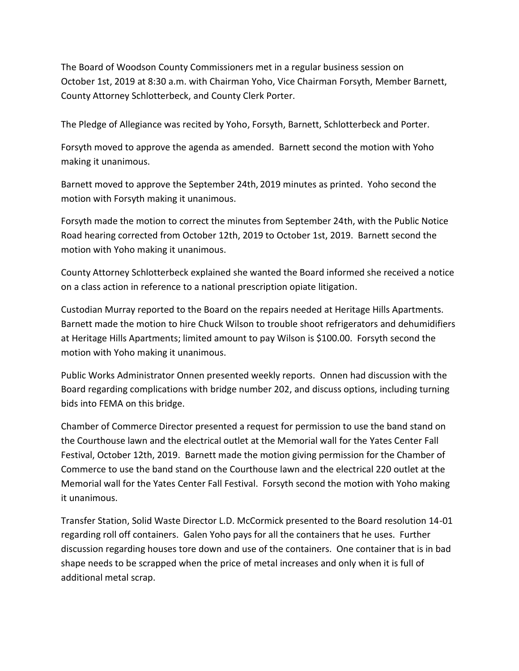The Board of Woodson County Commissioners met in a regular business session on October 1st, 2019 at 8:30 a.m. with Chairman Yoho, Vice Chairman Forsyth, Member Barnett, County Attorney Schlotterbeck, and County Clerk Porter.

The Pledge of Allegiance was recited by Yoho, Forsyth, Barnett, Schlotterbeck and Porter.

Forsyth moved to approve the agenda as amended. Barnett second the motion with Yoho making it unanimous.

Barnett moved to approve the September 24th, 2019 minutes as printed. Yoho second the motion with Forsyth making it unanimous.

Forsyth made the motion to correct the minutes from September 24th, with the Public Notice Road hearing corrected from October 12th, 2019 to October 1st, 2019. Barnett second the motion with Yoho making it unanimous.

County Attorney Schlotterbeck explained she wanted the Board informed she received a notice on a class action in reference to a national prescription opiate litigation.

Custodian Murray reported to the Board on the repairs needed at Heritage Hills Apartments. Barnett made the motion to hire Chuck Wilson to trouble shoot refrigerators and dehumidifiers at Heritage Hills Apartments; limited amount to pay Wilson is \$100.00. Forsyth second the motion with Yoho making it unanimous.

Public Works Administrator Onnen presented weekly reports. Onnen had discussion with the Board regarding complications with bridge number 202, and discuss options, including turning bids into FEMA on this bridge.

Chamber of Commerce Director presented a request for permission to use the band stand on the Courthouse lawn and the electrical outlet at the Memorial wall for the Yates Center Fall Festival, October 12th, 2019. Barnett made the motion giving permission for the Chamber of Commerce to use the band stand on the Courthouse lawn and the electrical 220 outlet at the Memorial wall for the Yates Center Fall Festival. Forsyth second the motion with Yoho making it unanimous.

Transfer Station, Solid Waste Director L.D. McCormick presented to the Board resolution 14-01 regarding roll off containers. Galen Yoho pays for all the containers that he uses. Further discussion regarding houses tore down and use of the containers. One container that is in bad shape needs to be scrapped when the price of metal increases and only when it is full of additional metal scrap.